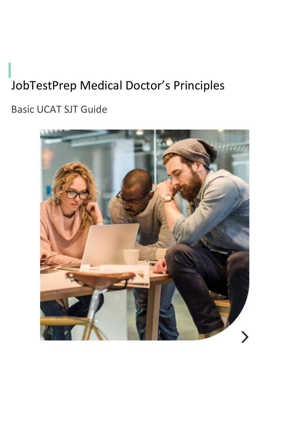# JobTestPrep Medical Doctor's Principles

Basic UCAT SJT Guide

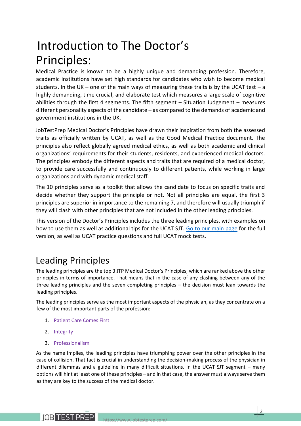# Introduction to The Doctor's Principles:

Medical Practice is known to be a highly unique and demanding profession. Therefore, academic institutions have set high standards for candidates who wish to become medical students. In the UK – one of the main ways of measuring these traits is by the UCAT test – a highly demanding, time crucial, and elaborate test which measures a large scale of cognitive abilities through the first 4 segments. The fifth segment  $-$  Situation Judgement  $-$  measures different personality aspects of the candidate – as compared to the demands of academic and government institutions in the UK.

JobTestPrep Medical Doctor's Principles have drawn their inspiration from both the assessed traits as officially written by UCAT, as well as the Good Medical Practice document. The principles also reflect globally agreed medical ethics, as well as both academic and clinical organizations' requirements for their students, residents, and experienced medical doctors. The principles embody the different aspects and traits that are required of a medical doctor, to provide care successfully and continuously to different patients, while working in large organizations and with dynamic medical staff.

The 10 principles serve as a toolkit that allows the candidate to focus on specific traits and decide whether they support the principle or not. Not all principles are equal, the first 3 principles are superior in importance to the remaining 7, and therefore will usually triumph if they will clash with other principles that are not included in the other leading principles.

This version of the Doctor's Principles includes the three leading principles, with examples on how to use them as well as additional tips for the UCAT SJT. [Go to our main page](https://www.jobtestprep.co.uk/ucat-test-practice-questions?utm_source=pdf+guide&utm_medium=pdf&utm_campaign=ucat-pdf&utm_term=ucat) for the full version, as well as UCAT practice questions and full UCAT mock tests.

# Leading Principles

The leading principles are the top 3 JTP Medical Doctor's Principles, which are ranked above the other principles in terms of importance. That means that in the case of any clashing between any of the three leading principles and the seven completing principles – the decision must lean towards the leading principles.

The leading principles serve as the most important aspects of the physician, as they concentrate on a few of the most important parts of the profession:

- 1. Patient Care Comes First
- 2. Integrity
- 3. Professionalism

**IOB TEST PREP** 

As the name implies, the leading principles have triumphing power over the other principles in the case of collision. That fact is crucial in understanding the decision-making process of the physician in different dilemmas and a guideline in many difficult situations. In the UCAT SJT segment – many options will hint at least one of these principles – and in that case, the answer must always serve them as they are key to the success of the medical doctor.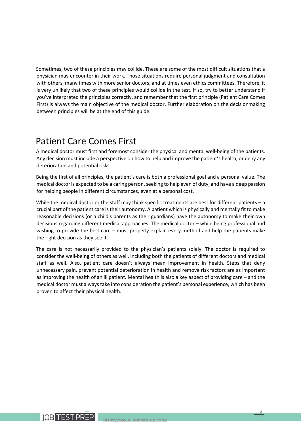Sometimes, two of these principles may collide. These are some of the most difficult situations that a physician may encounter in their work. Those situations require personal judgment and consultation with others, many times with more senior doctors, and at times even ethics committees. Therefore, it is very unlikely that two of these principles would collide in the test. If so, try to better understand if you've interpreted the principles correctly, and remember that the first principle (Patient Care Comes First) is always the main objective of the medical doctor. Further elaboration on the decisionmaking between principles will be at the end of this guide.

# Patient Care Comes First

A medical doctor must first and foremost consider the physical and mental well-being of the patients. Any decision must include a perspective on how to help and improve the patient's health, or deny any deterioration and potential risks.

Being the first of all principles, the patient's care is both a professional goal and a personal value. The medical doctor is expected to be a caring person, seeking to help even of duty, and have a deep passion for helping people in different circumstances, even at a personal cost.

While the medical doctor or the staff may think specific treatments are best for different patients – a crucial part of the patient care is their autonomy. A patient which is physically and mentally fit to make reasonable decisions (or a child's parents as their guardians) have the autonomy to make their own decisions regarding different medical approaches. The medical doctor – while being professional and wishing to provide the best care – must properly explain every method and help the patients make the right decision as they see it.

The care is not necessarily provided to the physician's patients solely. The doctor is required to consider the well-being of others as well, including both the patients of different doctors and medical staff as well. Also, patient care doesn't always mean improvement in health. Steps that deny unnecessary pain, prevent potential deterioration in health and remove risk factors are as important as improving the health of an ill patient. Mental health is also a key aspect of providing care – and the medical doctor must always take into consideration the patient's personal experience, which has been proven to affect their physical health.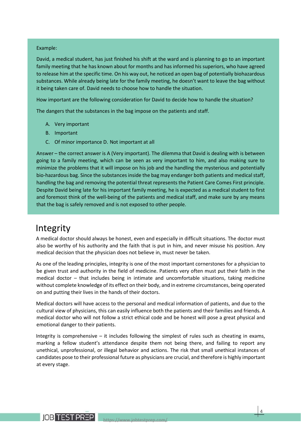#### Example:

David, a medical student, has just finished his shift at the ward and is planning to go to an important family meeting that he has known about for months and has informed his superiors, who have agreed to release him at the specific time. On his way out, he noticed an open bag of potentially biohazardous substances. While already being late for the family meeting, he doesn't want to leave the bag without it being taken care of. David needs to choose how to handle the situation.

How important are the following consideration for David to decide how to handle the situation?

The dangers that the substances in the bag impose on the patients and staff.

- A. Very important
- B. Important
- C. Of minor importance D. Not important at all

Answer – the correct answer is A (Very important). The dilemma that David is dealing with is between going to a family meeting, which can be seen as very important to him, and also making sure to minimize the problems that it will impose on his job and the handling the mysterious and potentially bio-hazardous bag. Since the substances inside the bag may endanger both patients and medical staff, handling the bag and removing the potential threat represents the Patient Care Comes First principle. Despite David being late for his important family meeting, he is expected as a medical student to first and foremost think of the well-being of the patients and medical staff, and make sure by any means that the bag is safely removed and is not exposed to other people.

### Integrity

A medical doctor should always be honest, even and especially in difficult situations. The doctor must also be worthy of his authority and the faith that is put in him, and never misuse his position. Any medical decision that the physician does not believe in, must never be taken.

As one of the leading principles, integrity is one of the most important cornerstones for a physician to be given trust and authority in the field of medicine. Patients very often must put their faith in the medical doctor – that includes being in intimate and uncomfortable situations, taking medicine without complete knowledge of its effect on their body, and in extreme circumstances, being operated on and putting their lives in the hands of their doctors.

Medical doctors will have access to the personal and medical information of patients, and due to the cultural view of physicians, this can easily influence both the patients and their families and friends. A medical doctor who will not follow a strict ethical code and be honest will pose a great physical and emotional danger to their patients.

Integrity is comprehensive  $-$  it includes following the simplest of rules such as cheating in exams, marking a fellow student's attendance despite them not being there, and failing to report any unethical, unprofessional, or illegal behavior and actions. The risk that small unethical instances of candidates pose to their professional future as physicians are crucial, and therefore is highly important at every stage.

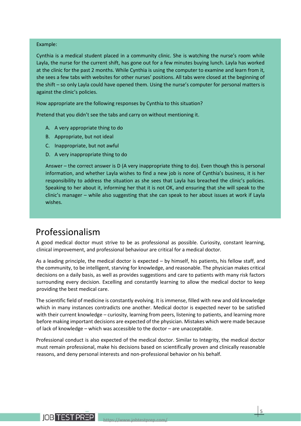#### Example:

Cynthia is a medical student placed in a community clinic. She is watching the nurse's room while Layla, the nurse for the current shift, has gone out for a few minutes buying lunch. Layla has worked at the clinic for the past 2 months. While Cynthia is using the computer to examine and learn from it, she sees a few tabs with websites for other nurses' positions. All tabs were closed at the beginning of the shift – so only Layla could have opened them. Using the nurse's computer for personal matters is against the clinic's policies.

How appropriate are the following responses by Cynthia to this situation?

Pretend that you didn't see the tabs and carry on without mentioning it.

- A. A very appropriate thing to do
- B. Appropriate, but not ideal
- C. Inappropriate, but not awful
- D. A very inappropriate thing to do

Answer – the correct answer is D (A very inappropriate thing to do). Even though this is personal information, and whether Layla wishes to find a new job is none of Cynthia's business, it is her responsibility to address the situation as she sees that Layla has breached the clinic's policies. Speaking to her about it, informing her that it is not OK, and ensuring that she will speak to the clinic's manager – while also suggesting that she can speak to her about issues at work if Layla wishes.

## Professionalism

A good medical doctor must strive to be as professional as possible. Curiosity, constant learning, clinical improvement, and professional behaviour are critical for a medical doctor.

As a leading principle, the medical doctor is expected – by himself, his patients, his fellow staff, and the community, to be intelligent, starving for knowledge, and reasonable. The physician makes critical decisions on a daily basis, as well as provides suggestions and care to patients with many risk factors surrounding every decision. Excelling and constantly learning to allow the medical doctor to keep providing the best medical care.

The scientific field of medicine is constantly evolving. It is immense, filled with new and old knowledge which in many instances contradicts one another. Medical doctor is expected never to be satisfied with their current knowledge – curiosity, learning from peers, listening to patients, and learning more before making important decisions are expected of the physician. Mistakes which were made because of lack of knowledge – which was accessible to the doctor – are unacceptable.

Professional conduct is also expected of the medical doctor. Similar to Integrity, the medical doctor must remain professional, make his decisions based on scientifically proven and clinically reasonable reasons, and deny personal interests and non-professional behavior on his behalf.

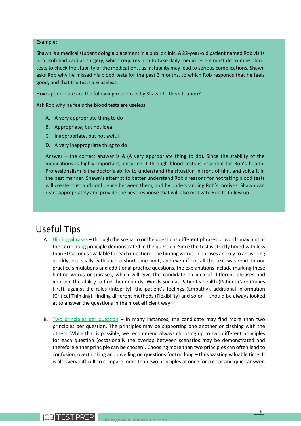#### Example:

Shawn is a medical student doing a placement in a public clinic. A 22-year-old patient named Rob visits him. Rob had cardiac surgery, which requires him to take daily medicine. He must do routine blood tests to check the stability of the medications, as instability may lead to serious complications. Shawn asks Rob why he missed his blood tests for the past 3 months, to which Rob responds that he feels good, and that the tests are useless.

How appropriate are the following responses by Shawn to this situation?

Ask Rob why he feels the blood tests are useless.

- A. A very appropriate thing to do
- B. Appropriate, but not ideal
- C. Inappropriate, but not awful
- D. A very inappropriate thing to do

Answer – the correct answer is A (A very appropriate thing to do). Since the stability of the medications is highly important, ensuring it through blood tests is essential for Rob's health. Professionalism is the doctor's ability to understand the situation in front of him, and solve it in the best manner. Shawn's attempt to better understand Rob's reasons for not taking blood tests will create trust and confidence between them, and by understanding Rob's motives, Shawn can react appropriately and provide the best response that will also motivate Rob to follow up.

# Useful Tips

- A. Hinting phrases through the scenario or the questions different phrases or words may hint at the correlating principle demonstrated in the question. Since the test is strictly timed with less than 30 seconds available for each question – the hinting words or phrases are key to answering quickly, especially with such a short time limit, and even if not all the text was read. In our practice simulations and additional practice questions, the explanations include marking these hinting words or phrases, which will give the candidate an idea of different phrases and improve the ability to find them quickly. Words such as Patient's health (Patient Care Comes First), against the rules (Integrity), the patient's feelings (Empathy), additional information (Critical Thinking), finding different methods (Flexibility) and so on – should be always looked at to answer the questions in the most efficient way.
- B. Two principles per question in many instances, the candidate may find more than two principles per question. The principles may be supporting one another or clashing with the others. While that is possible, we recommend always choosing up to two different principles for each question (occasionally the overlap between scenarios may be demonstrated and therefore either principle can be chosen). Choosing more than two principles can often lead to confusion, overthinking and dwelling on questions for too long – thus wasting valuable time. It is also very difficult to compare more than two principles at once for a clear and quick answer.